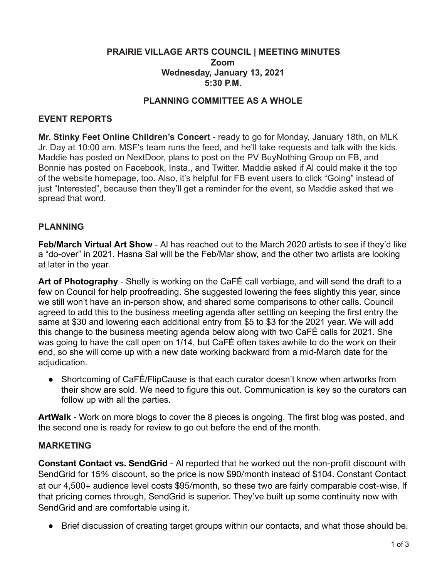### **PRAIRIE VILLAGE ARTS COUNCIL | MEETING MINUTES Zoom Wednesday, January 13, 2021 5:30 P.M.**

### **PLANNING COMMITTEE AS A WHOLE**

#### **EVENT REPORTS**

**Mr. Stinky Feet Online Children's Concert** - ready to go for Monday, January 18th, on MLK Jr. Day at 10:00 am. MSF's team runs the feed, and he'll take requests and talk with the kids. Maddie has posted on NextDoor, plans to post on the PV BuyNothing Group on FB, and Bonnie has posted on Facebook, Insta., and Twitter. Maddie asked if Al could make it the top of the website homepage, too. Also, it's helpful for FB event users to click "Going" instead of just "Interested", because then they'll get a reminder for the event, so Maddie asked that we spread that word.

#### **PLANNING**

**Feb/March Virtual Art Show** - Al has reached out to the March 2020 artists to see if they'd like a "do-over" in 2021. Hasna Sal will be the Feb/Mar show, and the other two artists are looking at later in the year.

**Art of Photography** - Shelly is working on the CaFÉ call verbiage, and will send the draft to a few on Council for help proofreading. She suggested lowering the fees slightly this year, since we still won't have an in-person show, and shared some comparisons to other calls. Council agreed to add this to the business meeting agenda after settling on keeping the first entry the same at \$30 and lowering each additional entry from \$5 to \$3 for the 2021 year. We will add this change to the business meeting agenda below along with two CaFÉ calls for 2021. She was going to have the call open on 1/14, but CaFÉ often takes awhile to do the work on their end, so she will come up with a new date working backward from a mid-March date for the adjudication.

● Shortcoming of CaFÉ/FlipCause is that each curator doesn't know when artworks from their show are sold. We need to figure this out. Communication is key so the curators can follow up with all the parties.

**ArtWalk** - Work on more blogs to cover the 8 pieces is ongoing. The first blog was posted, and the second one is ready for review to go out before the end of the month.

#### **MARKETING**

**Constant Contact vs. SendGrid** - Al reported that he worked out the non-profit discount with SendGrid for 15% discount, so the price is now \$90/month instead of \$104. Constant Contact at our 4,500+ audience level costs \$95/month, so these two are fairly comparable cost-wise. If that pricing comes through, SendGrid is superior. They've built up some continuity now with SendGrid and are comfortable using it.

● Brief discussion of creating target groups within our contacts, and what those should be.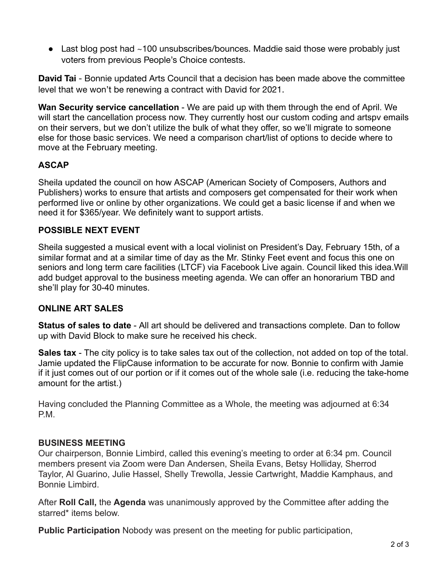• Last blog post had ~100 unsubscribes/bounces. Maddie said those were probably just voters from previous People's Choice contests.

**David Tai** - Bonnie updated Arts Council that a decision has been made above the committee level that we won't be renewing a contract with David for 2021.

**Wan Security service cancellation** - We are paid up with them through the end of April. We will start the cancellation process now. They currently host our custom coding and artspy emails on their servers, but we don't utilize the bulk of what they offer, so we'll migrate to someone else for those basic services. We need a comparison chart/list of options to decide where to move at the February meeting.

# **ASCAP**

Sheila updated the council on how ASCAP ( American Society of Composers, Authors and Publishers) works to ensure that artists and composers get compensated for their work when performed live or online by other organizations. We could get a basic license if and when we need it for \$365/year. We definitely want to support artists.

# **POSSIBLE NEXT EVENT**

Sheila suggested a musical event with a local violinist on President's Day, February 15th, of a similar format and at a similar time of day as the Mr. Stinky Feet event and focus this one on seniors and long term care facilities (LTCF) via Facebook Live again. Council liked this idea.Will add budget approval to the business meeting agenda. We can offer an honorarium TBD and she'll play for 30-40 minutes.

# **ONLINE ART SALES**

**Status of sales to date** - All art should be delivered and transactions complete. Dan to follow up with David Block to make sure he received his check.

**Sales tax** - The city policy is to take sales tax out of the collection, not added on top of the total. Jamie updated the FlipCause information to be accurate for now. Bonnie to confirm with Jamie if it just comes out of our portion or if it comes out of the whole sale (i.e. reducing the take-home amount for the artist.)

Having concluded the Planning Committee as a Whole, the meeting was adjourned at 6:34 P.M.

# **BUSINESS MEETING**

Our chairperson, Bonnie Limbird, called this evening's meeting to order at 6:34 pm. Council members present via Zoom were Dan Andersen, Sheila Evans, Betsy Holliday, Sherrod Taylor, Al Guarino, Julie Hassel, Shelly Trewolla, Jessie Cartwright, Maddie Kamphaus, and Bonnie Limbird.

After **Roll Call,** the **Agenda** was unanimously approved by the Committee after adding the starred\* items below.

**Public Participation** Nobody was present on the meeting for public participation,